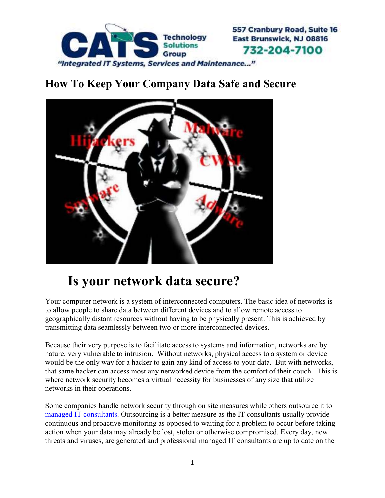

## **How To Keep Your Company Data Safe and Secure**



## **Is your network data secure?**

Your computer network is a system of interconnected computers. The basic idea of networks is to allow people to share data between different devices and to allow remote access to geographically distant resources without having to be physically present. This is achieved by transmitting data seamlessly between two or more interconnected devices.

Because their very purpose is to facilitate access to systems and information, networks are by nature, very vulnerable to intrusion. Without networks, physical access to a system or device would be the only way for a hacker to gain any kind of access to your data. But with networks, that same hacker can access most any networked device from the comfort of their couch. This is where network security becomes a virtual necessity for businesses of any size that utilize networks in their operations.

Some companies handle network security through on site measures while others outsource it to managed IT consultants. Outsourcing is a better measure as the IT consultants usually provide continuous and proactive monitoring as opposed to waiting for a problem to occur before taking action when your data may already be lost, stolen or otherwise compromised. Every day, new threats and viruses, are generated and professional managed IT consultants are up to date on the